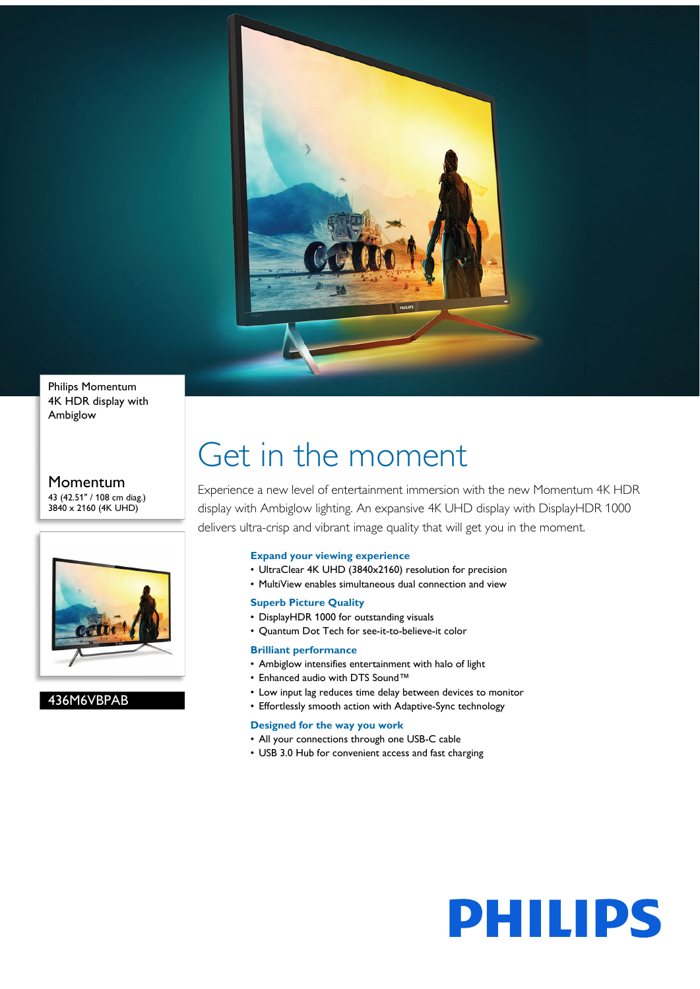

Philips Momentum 4K HDR display with Ambiglow

#### Momentum 43 (42.51" / 108 cm diag.) 3840 x 2160 (4K UHD)



### 436M6VBPAB

# Get in the moment

Experience a new level of entertainment immersion with the new Momentum 4K HDR display with Ambiglow lighting. An expansive 4K UHD display with DisplayHDR 1000 delivers ultra-crisp and vibrant image quality that will get you in the moment.

#### **Expand your viewing experience**

- UltraClear 4K UHD (3840x2160) resolution for precision
- MultiView enables simultaneous dual connection and view

#### **Superb Picture Quality**

- DisplayHDR 1000 for outstanding visuals
- Quantum Dot Tech for see-it-to-believe-it color

#### **Brilliant performance**

- Ambiglow intensifies entertainment with halo of light
- Enhanced audio with DTS Sound™
- Low input lag reduces time delay between devices to monitor
- Effortlessly smooth action with Adaptive-Sync technology

#### **Designed for the way you work**

- All your connections through one USB-C cable
- USB 3.0 Hub for convenient access and fast charging

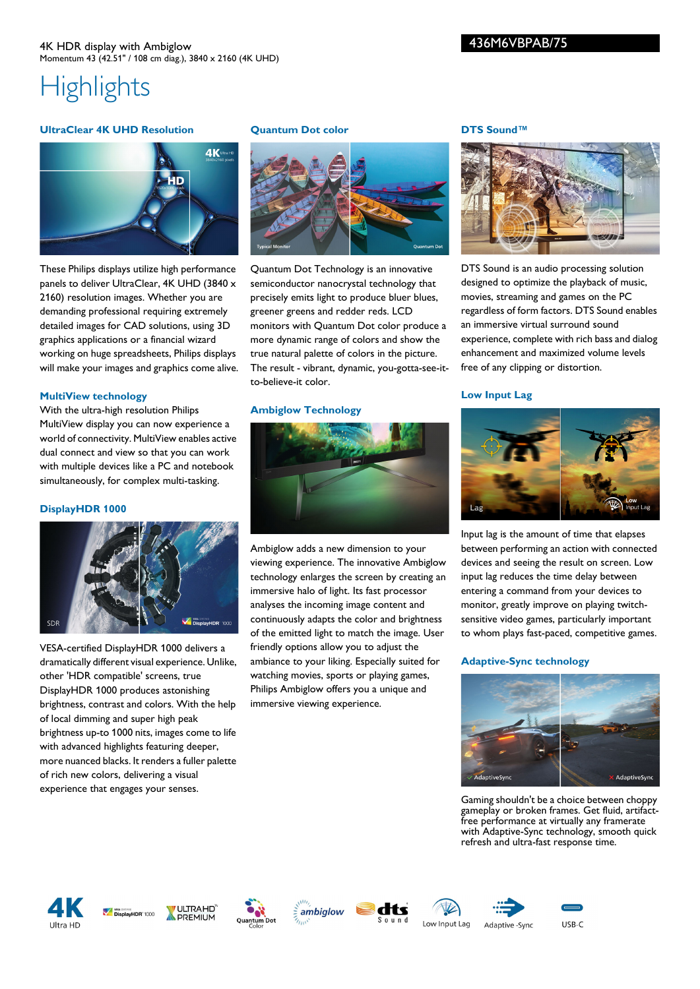#### **UltraClear 4K UHD Resolution**



These Philips displays utilize high performance panels to deliver UltraClear, 4K UHD (3840 x 2160) resolution images. Whether you are demanding professional requiring extremely detailed images for CAD solutions, using 3D graphics applications or a financial wizard working on huge spreadsheets, Philips displays will make your images and graphics come alive.

#### **MultiView technology**

With the ultra-high resolution Philips MultiView display you can now experience a world of connectivity. MultiView enables active dual connect and view so that you can work with multiple devices like a PC and notebook simultaneously, for complex multi-tasking.

#### **DisplayHDR 1000**



VESA-certified DisplayHDR 1000 delivers a dramatically different visual experience. Unlike, other 'HDR compatible' screens, true DisplayHDR 1000 produces astonishing brightness, contrast and colors. With the help of local dimming and super high peak brightness up-to 1000 nits, images come to life with advanced highlights featuring deeper, more nuanced blacks. It renders a fuller palette of rich new colors, delivering a visual experience that engages your senses.

#### **Quantum Dot color**



Quantum Dot Technology is an innovative semiconductor nanocrystal technology that precisely emits light to produce bluer blues, greener greens and redder reds. LCD monitors with Quantum Dot color produce a more dynamic range of colors and show the true natural palette of colors in the picture. The result - vibrant, dynamic, you-gotta-see-itto-believe-it color.

#### **Ambiglow Technology**



Ambiglow adds a new dimension to your viewing experience. The innovative Ambiglow technology enlarges the screen by creating an immersive halo of light. Its fast processor analyses the incoming image content and continuously adapts the color and brightness of the emitted light to match the image. User friendly options allow you to adjust the ambiance to your liking. Especially suited for watching movies, sports or playing games, Philips Ambiglow offers you a unique and immersive viewing experience.

#### **DTS Sound™**

436M6VBPAB/75



DTS Sound is an audio processing solution designed to optimize the playback of music, movies, streaming and games on the PC regardless of form factors. DTS Sound enables an immersive virtual surround sound experience, complete with rich bass and dialog enhancement and maximized volume levels free of any clipping or distortion.

#### **Low Input Lag**



Input lag is the amount of time that elapses between performing an action with connected devices and seeing the result on screen. Low input lag reduces the time delay between entering a command from your devices to monitor, greatly improve on playing twitchsensitive video games, particularly important to whom plays fast-paced, competitive games.

#### **Adaptive-Sync technology**



Gaming shouldn't be a choice between choppy gameplay or broken frames. Get fluid, artifactfree performance at virtually any framerate with Adaptive-Sync technology, smooth quick refresh and ultra-fast response time.















USB-C